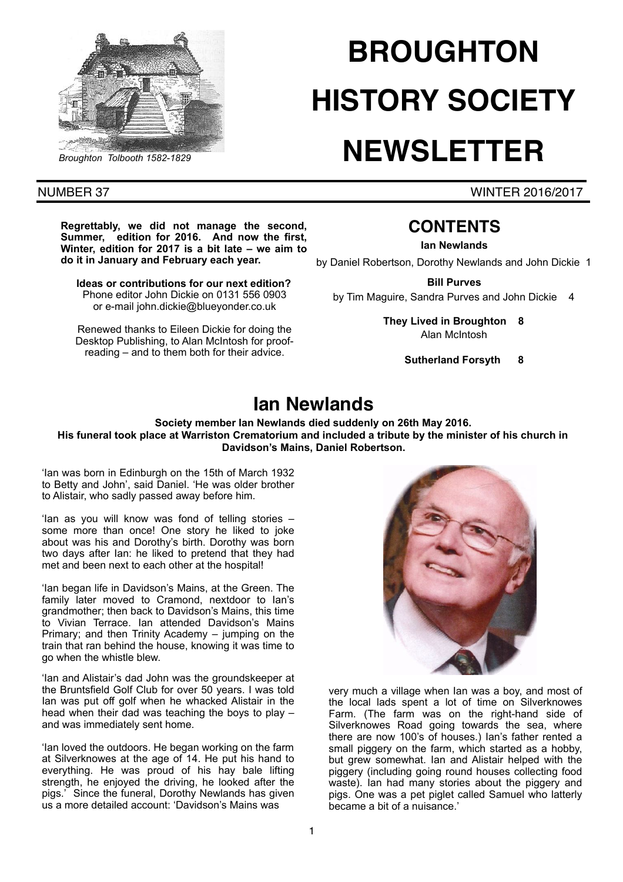

# **BROUGHTON HISTORY SOCIETY**

## *Broughton Tolbooth 1582-1829* **NEWSLETTER**

**Regrettably, we did not manage the second, Summer, edition for 2016. And now the first, Winter, edition for 2017 is a bit late – we aim to do it in January and February each year.** 

**Ideas or contributions for our next edition?**  Phone editor John Dickie on 0131 556 0903 or e-mail john.dickie@blueyonder.co.uk

Renewed thanks to Eileen Dickie for doing the Desktop Publishing, to Alan McIntosh for proofreading – and to them both for their advice.

## **CONTENTS**

**Ian Newlands** 

by Daniel Robertson, Dorothy Newlands and John Dickie 1

**Bill Purves** 

by Tim Maguire, Sandra Purves and John Dickie 4

**They Lived in Broughton 8**  Alan McIntosh

 **Sutherland Forsyth 8** 

## **Ian Newlands**

#### **Society member Ian Newlands died suddenly on 26th May 2016. His funeral took place at Warriston Crematorium and included a tribute by the minister of his church in Davidson's Mains, Daniel Robertson.**

'Ian was born in Edinburgh on the 15th of March 1932 to Betty and John', said Daniel. 'He was older brother to Alistair, who sadly passed away before him.

'Ian as you will know was fond of telling stories – some more than once! One story he liked to joke about was his and Dorothy's birth. Dorothy was born two days after Ian: he liked to pretend that they had met and been next to each other at the hospital!

'Ian began life in Davidson's Mains, at the Green. The family later moved to Cramond, nextdoor to Ian's grandmother; then back to Davidson's Mains, this time to Vivian Terrace. Ian attended Davidson's Mains Primary; and then Trinity Academy – jumping on the train that ran behind the house, knowing it was time to go when the whistle blew.

'Ian and Alistair's dad John was the groundskeeper at the Bruntsfield Golf Club for over 50 years. I was told Ian was put off golf when he whacked Alistair in the head when their dad was teaching the boys to play – and was immediately sent home.

'Ian loved the outdoors. He began working on the farm at Silverknowes at the age of 14. He put his hand to everything. He was proud of his hay bale lifting strength, he enjoyed the driving, he looked after the pigs.' Since the funeral, Dorothy Newlands has given us a more detailed account: 'Davidson's Mains was



very much a village when Ian was a boy, and most of the local lads spent a lot of time on Silverknowes Farm. (The farm was on the right-hand side of Silverknowes Road going towards the sea, where there are now 100's of houses.) Ian's father rented a small piggery on the farm, which started as a hobby, but grew somewhat. Ian and Alistair helped with the piggery (including going round houses collecting food waste). Ian had many stories about the piggery and pigs. One was a pet piglet called Samuel who latterly became a bit of a nuisance.'

NUMBER 37 WINTER 2016/2017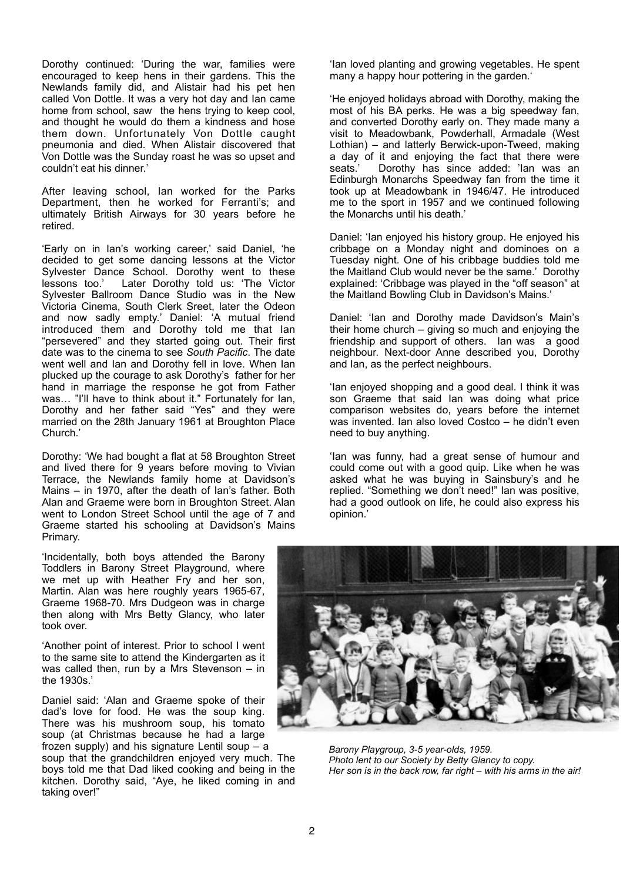Dorothy continued: 'During the war, families were encouraged to keep hens in their gardens. This the Newlands family did, and Alistair had his pet hen called Von Dottle. It was a very hot day and Ian came home from school, saw the hens trying to keep cool, and thought he would do them a kindness and hose them down. Unfortunately Von Dottle caught pneumonia and died. When Alistair discovered that Von Dottle was the Sunday roast he was so upset and couldn't eat his dinner.'

After leaving school, Ian worked for the Parks Department, then he worked for Ferranti's; and ultimately British Airways for 30 years before he retired.

'Early on in Ian's working career,' said Daniel, 'he decided to get some dancing lessons at the Victor Sylvester Dance School. Dorothy went to these<br>lessons too.' Later Dorothy told us: 'The Victor Later Dorothy told us: 'The Victor Sylvester Ballroom Dance Studio was in the New Victoria Cinema, South Clerk Sreet, later the Odeon and now sadly empty.' Daniel: 'A mutual friend introduced them and Dorothy told me that Ian "persevered" and they started going out. Their first date was to the cinema to see *South Pacific*. The date went well and Ian and Dorothy fell in love. When Ian plucked up the courage to ask Dorothy's father for her hand in marriage the response he got from Father was... "I'll have to think about it." Fortunately for Ian, Dorothy and her father said "Yes" and they were married on the 28th January 1961 at Broughton Place Church.'

Dorothy: 'We had bought a flat at 58 Broughton Street and lived there for 9 years before moving to Vivian Terrace, the Newlands family home at Davidson's Mains – in 1970, after the death of Ian's father. Both Alan and Graeme were born in Broughton Street. Alan went to London Street School until the age of 7 and Graeme started his schooling at Davidson's Mains Primary.

'Incidentally, both boys attended the Barony Toddlers in Barony Street Playground, where we met up with Heather Fry and her son, Martin. Alan was here roughly years 1965-67, Graeme 1968-70. Mrs Dudgeon was in charge then along with Mrs Betty Glancy, who later took over.

'Another point of interest. Prior to school I went to the same site to attend the Kindergarten as it was called then, run by a Mrs Stevenson – in the 1930s.'

Daniel said: 'Alan and Graeme spoke of their dad's love for food. He was the soup king. There was his mushroom soup, his tomato soup (at Christmas because he had a large

frozen supply) and his signature Lentil soup – a soup that the grandchildren enjoyed very much. The boys told me that Dad liked cooking and being in the kitchen. Dorothy said, "Aye, he liked coming in and taking over!"

'Ian loved planting and growing vegetables. He spent many a happy hour pottering in the garden.'

'He enjoyed holidays abroad with Dorothy, making the most of his BA perks. He was a big speedway fan, and converted Dorothy early on. They made many a visit to Meadowbank, Powderhall, Armadale (West Lothian) – and latterly Berwick-upon-Tweed, making a day of it and enjoying the fact that there were seats.' Dorothy has since added: 'Ian was an Edinburgh Monarchs Speedway fan from the time it took up at Meadowbank in 1946/47. He introduced me to the sport in 1957 and we continued following the Monarchs until his death.'

Daniel: 'Ian enjoyed his history group. He enjoyed his cribbage on a Monday night and dominoes on a Tuesday night. One of his cribbage buddies told me the Maitland Club would never be the same.' Dorothy explained: 'Cribbage was played in the "off season" at the Maitland Bowling Club in Davidson's Mains.'

Daniel: 'Ian and Dorothy made Davidson's Main's their home church – giving so much and enjoying the friendship and support of others. Ian was a good neighbour. Next-door Anne described you, Dorothy and Ian, as the perfect neighbours.

'Ian enjoyed shopping and a good deal. I think it was son Graeme that said Ian was doing what price comparison websites do, years before the internet was invented. Ian also loved Costco – he didn't even need to buy anything.

'Ian was funny, had a great sense of humour and could come out with a good quip. Like when he was asked what he was buying in Sainsbury's and he replied. "Something we don't need!" Ian was positive, had a good outlook on life, he could also express his opinion.'



*Barony Playgroup, 3-5 year-olds, 1959. Photo lent to our Society by Betty Glancy to copy. Her son is in the back row, far right – with his arms in the air!*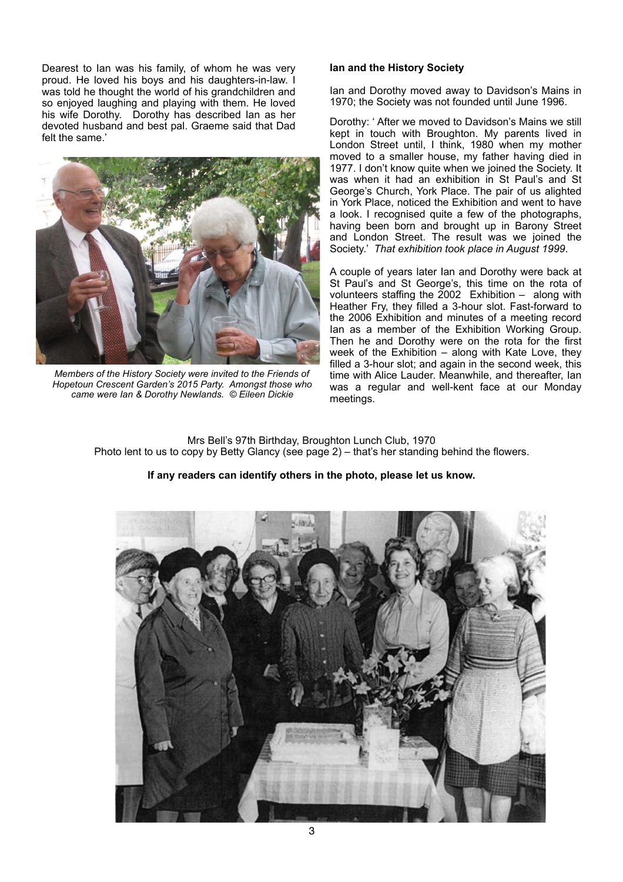Dearest to Ian was his family, of whom he was very proud. He loved his boys and his daughters-in-law. I was told he thought the world of his grandchildren and so enjoyed laughing and playing with them. He loved his wife Dorothy. Dorothy has described Ian as her devoted husband and best pal. Graeme said that Dad felt the same.'



*Members of the History Society were invited to the Friends of Hopetoun Crescent Garden's 2015 Party. Amongst those who came were Ian & Dorothy Newlands. © Eileen Dickie*

#### **Ian and the History Society**

Ian and Dorothy moved away to Davidson's Mains in 1970; the Society was not founded until June 1996.

Dorothy: ' After we moved to Davidson's Mains we still kept in touch with Broughton. My parents lived in London Street until, I think, 1980 when my mother moved to a smaller house, my father having died in 1977. I don't know quite when we joined the Society. It was when it had an exhibition in St Paul's and St George's Church, York Place. The pair of us alighted in York Place, noticed the Exhibition and went to have a look. I recognised quite a few of the photographs, having been born and brought up in Barony Street and London Street. The result was we joined the Society.' *That exhibition took place in August 1999*.

A couple of years later Ian and Dorothy were back at St Paul's and St George's, this time on the rota of volunteers staffing the 2002 Exhibition – along with Heather Fry, they filled a 3-hour slot. Fast-forward to the 2006 Exhibition and minutes of a meeting record Ian as a member of the Exhibition Working Group. Then he and Dorothy were on the rota for the first week of the Exhibition – along with Kate Love, they filled a 3-hour slot; and again in the second week, this time with Alice Lauder. Meanwhile, and thereafter, Ian was a regular and well-kent face at our Monday meetings.

Mrs Bell's 97th Birthday, Broughton Lunch Club, 1970 Photo lent to us to copy by Betty Glancy (see page 2) – that's her standing behind the flowers.

#### **If any readers can identify others in the photo, please let us know.**

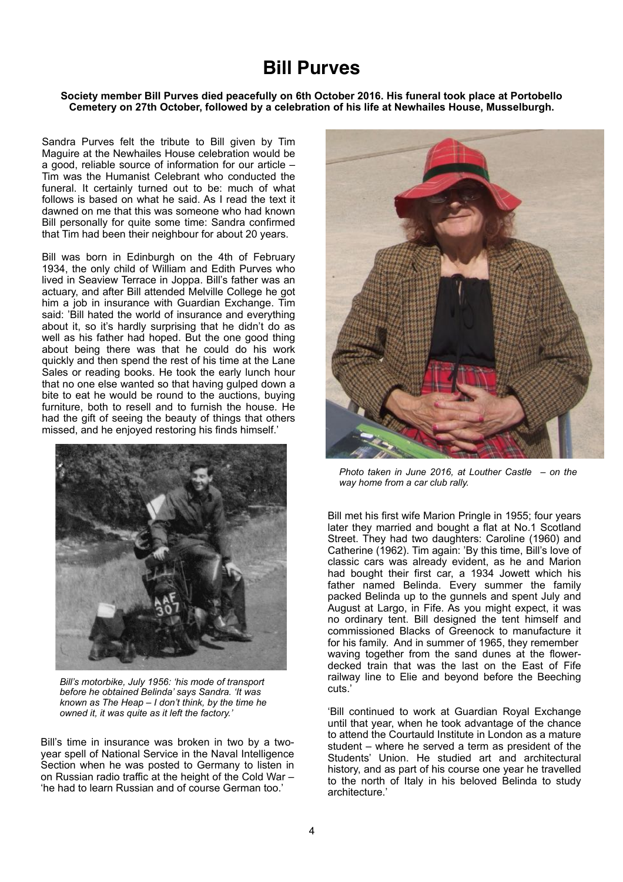## **Bill Purves**

#### **Society member Bill Purves died peacefully on 6th October 2016. His funeral took place at Portobello Cemetery on 27th October, followed by a celebration of his life at Newhailes House, Musselburgh.**

Sandra Purves felt the tribute to Bill given by Tim Maguire at the Newhailes House celebration would be a good, reliable source of information for our article – Tim was the Humanist Celebrant who conducted the funeral. It certainly turned out to be: much of what follows is based on what he said. As I read the text it dawned on me that this was someone who had known Bill personally for quite some time: Sandra confirmed that Tim had been their neighbour for about 20 years.

Bill was born in Edinburgh on the 4th of February 1934, the only child of William and Edith Purves who lived in Seaview Terrace in Joppa. Bill's father was an actuary, and after Bill attended Melville College he got him a job in insurance with Guardian Exchange. Tim said: 'Bill hated the world of insurance and everything about it, so it's hardly surprising that he didn't do as well as his father had hoped. But the one good thing about being there was that he could do his work quickly and then spend the rest of his time at the Lane Sales or reading books. He took the early lunch hour that no one else wanted so that having gulped down a bite to eat he would be round to the auctions, buying furniture, both to resell and to furnish the house. He had the gift of seeing the beauty of things that others missed, and he enjoyed restoring his finds himself.'



*Bill's motorbike, July 1956: 'his mode of transport before he obtained Belinda' says Sandra. 'It was known as The Heap – I don't think, by the time he owned it, it was quite as it left the factory.'* 

Bill's time in insurance was broken in two by a twoyear spell of National Service in the Naval Intelligence Section when he was posted to Germany to listen in on Russian radio traffic at the height of the Cold War – 'he had to learn Russian and of course German too.'



*Photo taken in June 2016, at Louther Castle – on the way home from a car club rally.* 

Bill met his first wife Marion Pringle in 1955; four years later they married and bought a flat at No.1 Scotland Street. They had two daughters: Caroline (1960) and Catherine (1962). Tim again: 'By this time, Bill's love of classic cars was already evident, as he and Marion had bought their first car, a 1934 Jowett which his father named Belinda. Every summer the family packed Belinda up to the gunnels and spent July and August at Largo, in Fife. As you might expect, it was no ordinary tent. Bill designed the tent himself and commissioned Blacks of Greenock to manufacture it for his family. And in summer of 1965, they remember waving together from the sand dunes at the flowerdecked train that was the last on the East of Fife railway line to Elie and beyond before the Beeching cuts.'

'Bill continued to work at Guardian Royal Exchange until that year, when he took advantage of the chance to attend the Courtauld Institute in London as a mature student – where he served a term as president of the Students' Union. He studied art and architectural history, and as part of his course one year he travelled to the north of Italy in his beloved Belinda to study architecture.'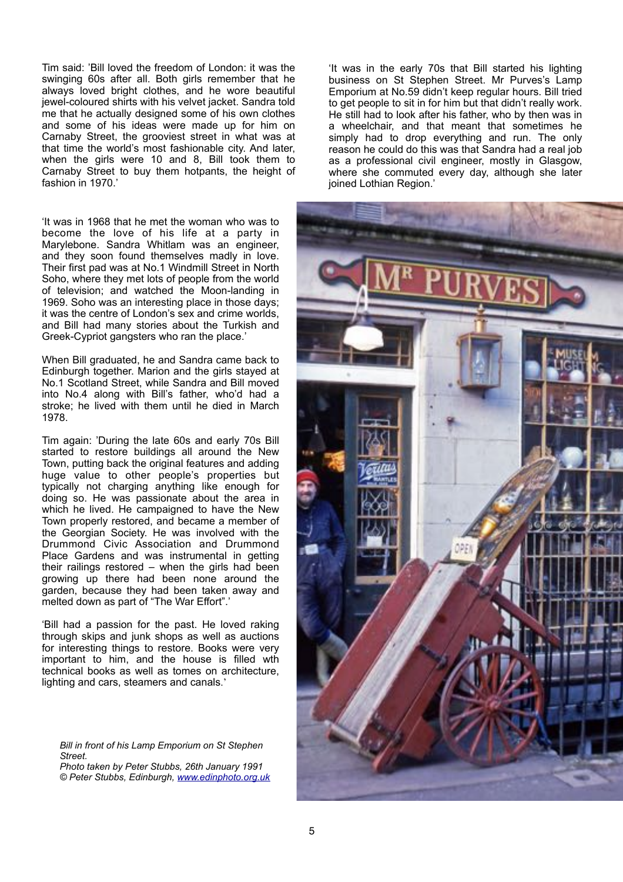Tim said: 'Bill loved the freedom of London: it was the swinging 60s after all. Both girls remember that he always loved bright clothes, and he wore beautiful jewel-coloured shirts with his velvet jacket. Sandra told me that he actually designed some of his own clothes and some of his ideas were made up for him on Carnaby Street, the grooviest street in what was at that time the world's most fashionable city. And later, when the girls were 10 and 8, Bill took them to Carnaby Street to buy them hotpants, the height of fashion in 1970.'

'It was in 1968 that he met the woman who was to become the love of his life at a party in Marylebone. Sandra Whitlam was an engineer, and they soon found themselves madly in love. Their first pad was at No.1 Windmill Street in North Soho, where they met lots of people from the world of television; and watched the Moon-landing in 1969. Soho was an interesting place in those days; it was the centre of London's sex and crime worlds, and Bill had many stories about the Turkish and Greek-Cypriot gangsters who ran the place.'

When Bill graduated, he and Sandra came back to Edinburgh together. Marion and the girls stayed at No.1 Scotland Street, while Sandra and Bill moved into No.4 along with Bill's father, who'd had a stroke; he lived with them until he died in March 1978.

Tim again: 'During the late 60s and early 70s Bill started to restore buildings all around the New Town, putting back the original features and adding huge value to other people's properties but typically not charging anything like enough for doing so. He was passionate about the area in which he lived. He campaigned to have the New Town properly restored, and became a member of the Georgian Society. He was involved with the Drummond Civic Association and Drummond Place Gardens and was instrumental in getting their railings restored – when the girls had been growing up there had been none around the garden, because they had been taken away and melted down as part of "The War Effort".'

'Bill had a passion for the past. He loved raking through skips and junk shops as well as auctions for interesting things to restore. Books were very important to him, and the house is filled wth technical books as well as tomes on architecture, lighting and cars, steamers and canals.'

*Bill in front of his Lamp Emporium on St Stephen Street.* 

*Photo taken by Peter Stubbs, 26th January 1991 © Peter Stubbs, Edinburgh, [www.edinphoto.org.uk](http://www.edinphoto.org.uk)*

'It was in the early 70s that Bill started his lighting business on St Stephen Street. Mr Purves's Lamp Emporium at No.59 didn't keep regular hours. Bill tried to get people to sit in for him but that didn't really work. He still had to look after his father, who by then was in a wheelchair, and that meant that sometimes he simply had to drop everything and run. The only reason he could do this was that Sandra had a real job as a professional civil engineer, mostly in Glasgow, where she commuted every day, although she later joined Lothian Region.'

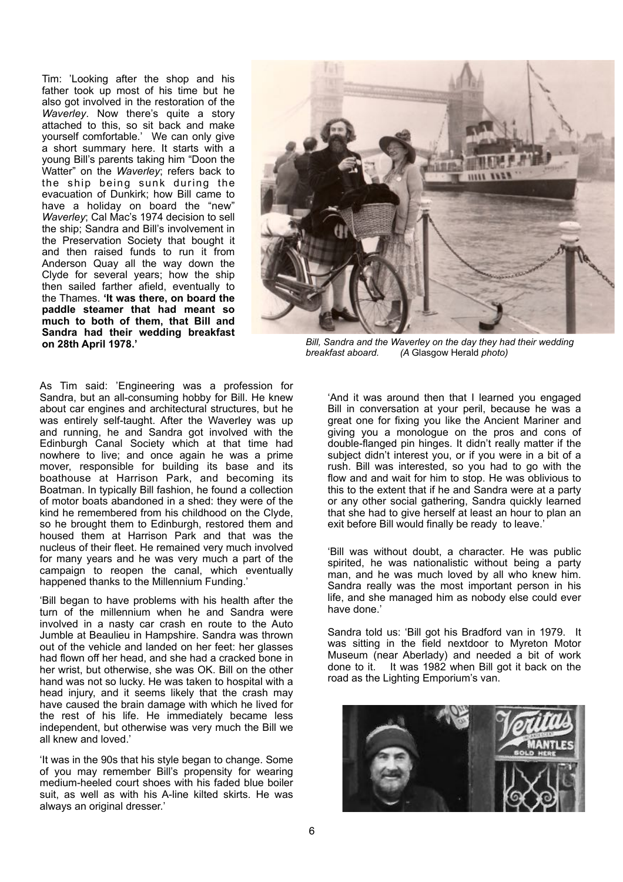Tim: 'Looking after the shop and his father took up most of his time but he also got involved in the restoration of the *Waverley*. Now there's quite a story attached to this, so sit back and make yourself comfortable.' We can only give a short summary here. It starts with a young Bill's parents taking him "Doon the Watter" on the *Waverley*; refers back to the ship being sunk during the evacuation of Dunkirk; how Bill came to have a holiday on board the "new" *Waverley*; Cal Mac's 1974 decision to sell the ship; Sandra and Bill's involvement in the Preservation Society that bought it and then raised funds to run it from Anderson Quay all the way down the Clyde for several years; how the ship then sailed farther afield, eventually to the Thames. **'It was there, on board the paddle steamer that had meant so much to both of them, that Bill and Sandra had their wedding breakfast on 28th April 1978.'**



*Bill, Sandra and the Waverley on the day they had their wedding breakfast aboard. (A* Glasgow Herald *photo)*

As Tim said: 'Engineering was a profession for Sandra, but an all-consuming hobby for Bill. He knew about car engines and architectural structures, but he was entirely self-taught. After the Waverley was up and running, he and Sandra got involved with the Edinburgh Canal Society which at that time had nowhere to live; and once again he was a prime mover, responsible for building its base and its boathouse at Harrison Park, and becoming its Boatman. In typically Bill fashion, he found a collection of motor boats abandoned in a shed: they were of the kind he remembered from his childhood on the Clyde, so he brought them to Edinburgh, restored them and housed them at Harrison Park and that was the nucleus of their fleet. He remained very much involved for many years and he was very much a part of the campaign to reopen the canal, which eventually happened thanks to the Millennium Funding.'

'Bill began to have problems with his health after the turn of the millennium when he and Sandra were involved in a nasty car crash en route to the Auto Jumble at Beaulieu in Hampshire. Sandra was thrown out of the vehicle and landed on her feet: her glasses had flown off her head, and she had a cracked bone in her wrist, but otherwise, she was OK. Bill on the other hand was not so lucky. He was taken to hospital with a head injury, and it seems likely that the crash may have caused the brain damage with which he lived for the rest of his life. He immediately became less independent, but otherwise was very much the Bill we all knew and loved.'

'It was in the 90s that his style began to change. Some of you may remember Bill's propensity for wearing medium-heeled court shoes with his faded blue boiler suit, as well as with his A-line kilted skirts. He was always an original dresser.'

'And it was around then that I learned you engaged Bill in conversation at your peril, because he was a great one for fixing you like the Ancient Mariner and giving you a monologue on the pros and cons of double-flanged pin hinges. It didn't really matter if the subject didn't interest you, or if you were in a bit of a rush. Bill was interested, so you had to go with the flow and and wait for him to stop. He was oblivious to this to the extent that if he and Sandra were at a party or any other social gathering, Sandra quickly learned that she had to give herself at least an hour to plan an exit before Bill would finally be ready to leave.'

'Bill was without doubt, a character. He was public spirited, he was nationalistic without being a party man, and he was much loved by all who knew him. Sandra really was the most important person in his life, and she managed him as nobody else could ever have done.'

Sandra told us: 'Bill got his Bradford van in 1979. It was sitting in the field nextdoor to Myreton Motor Museum (near Aberlady) and needed a bit of work done to it. It was 1982 when Bill got it back on the road as the Lighting Emporium's van.

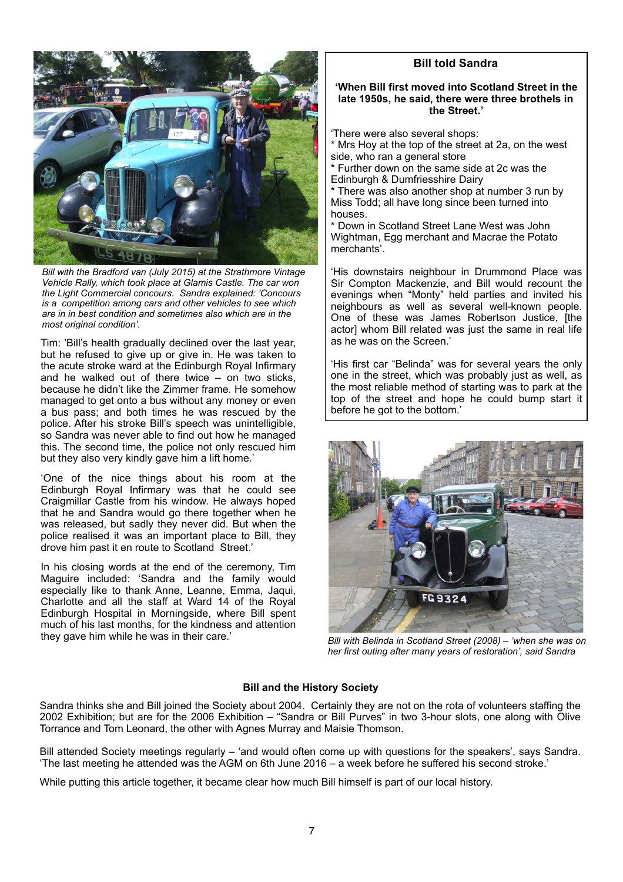### **Bill told Sandra**

**'When Bill first moved into Scotland Street in the late 1950s, he said, there were three brothels in the Street.'**



*Bill with the Bradford van (July 2015) at the Strathmore Vintage Vehicle Rally, which took place at Glamis Castle. The car won the Light Commercial concours. Sandra explained: 'Concours is a competition among cars and other vehicles to see which are in in best condition and sometimes also which are in the most original condition'.*

Tim: 'Bill's health gradually declined over the last year, but he refused to give up or give in. He was taken to the acute stroke ward at the Edinburgh Royal Infirmary and he walked out of there twice – on two sticks, because he didn't like the Zimmer frame. He somehow managed to get onto a bus without any money or even a bus pass; and both times he was rescued by the police. After his stroke Bill's speech was unintelligible, so Sandra was never able to find out how he managed this. The second time, the police not only rescued him but they also very kindly gave him a lift home.'

'One of the nice things about his room at the Edinburgh Royal Infirmary was that he could see Craigmillar Castle from his window. He always hoped that he and Sandra would go there together when he was released, but sadly they never did. But when the police realised it was an important place to Bill, they drove him past it en route to Scotland Street.'

In his closing words at the end of the ceremony, Tim Maguire included: 'Sandra and the family would especially like to thank Anne, Leanne, Emma, Jaqui, Charlotte and all the staff at Ward 14 of the Royal Edinburgh Hospital in Morningside, where Bill spent much of his last months, for the kindness and attention they gave him while he was in their care.'

#### 'There were also several shops:

\* Mrs Hoy at the top of the street at 2a, on the west side, who ran a general store

\* Further down on the same side at 2c was the Edinburgh & Dumfriesshire Dairy

\* There was also another shop at number 3 run by Miss Todd; all have long since been turned into houses.

\* Down in Scotland Street Lane West was John Wightman, Egg merchant and Macrae the Potato merchants'.

'His downstairs neighbour in Drummond Place was Sir Compton Mackenzie, and Bill would recount the evenings when "Monty" held parties and invited his neighbours as well as several well-known people. One of these was James Robertson Justice, [the actor] whom Bill related was just the same in real life as he was on the Screen.'

'His first car "Belinda" was for several years the only one in the street, which was probably just as well, as the most reliable method of starting was to park at the top of the street and hope he could bump start it before he got to the bottom.'



*Bill with Belinda in Scotland Street (2008) – 'when she was on her first outing after many years of restoration', said Sandra*

#### **Bill and the History Society**

Sandra thinks she and Bill joined the Society about 2004. Certainly they are not on the rota of volunteers staffing the 2002 Exhibition; but are for the 2006 Exhibition – "Sandra or Bill Purves" in two 3-hour slots, one along with Olive Torrance and Tom Leonard, the other with Agnes Murray and Maisie Thomson.

Bill attended Society meetings regularly – 'and would often come up with questions for the speakers', says Sandra. 'The last meeting he attended was the AGM on 6th June 2016 – a week before he suffered his second stroke.'

While putting this article together, it became clear how much Bill himself is part of our local history.